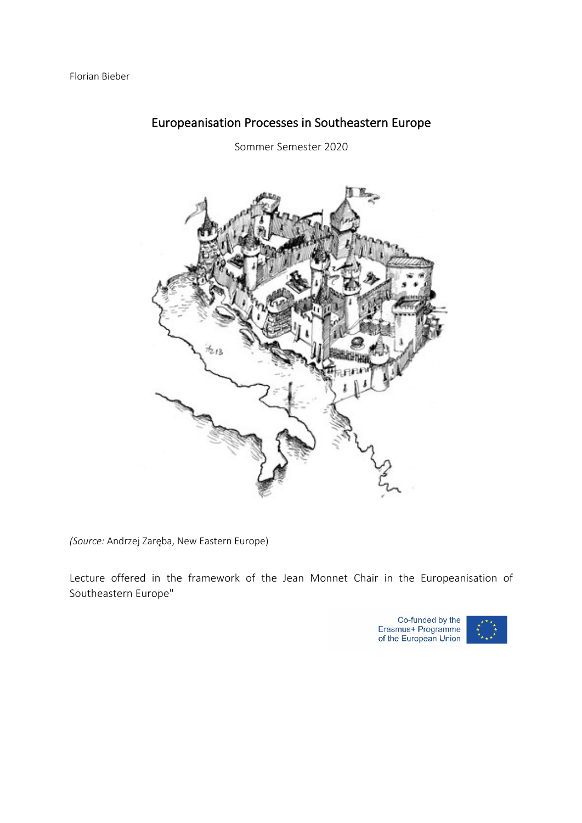

# Europeanisation Processes in Southeastern Europe

Sommer Semester 2020

*(Source:* Andrzej Zaręba, New Eastern Europe)

Lecture offered in the framework of the Jean Monnet Chair in the Europeanisation of Southeastern Europe"

Co-funded by the<br>Erasmus+ Programme<br>of the European Union

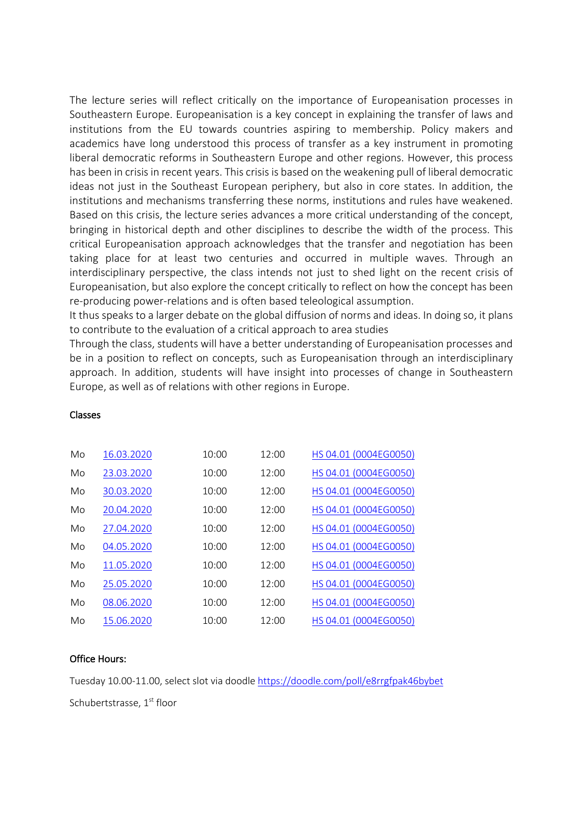The lecture series will reflect critically on the importance of Europeanisation processes in Southeastern Europe. Europeanisation is a key concept in explaining the transfer of laws and institutions from the EU towards countries aspiring to membership. Policy makers and academics have long understood this process of transfer as a key instrument in promoting liberal democratic reforms in Southeastern Europe and other regions. However, this process has been in crisis in recent years. This crisis is based on the weakening pull of liberal democratic ideas not just in the Southeast European periphery, but also in core states. In addition, the institutions and mechanisms transferring these norms, institutions and rules have weakened. Based on this crisis, the lecture series advances a more critical understanding of the concept, bringing in historical depth and other disciplines to describe the width of the process. This critical Europeanisation approach acknowledges that the transfer and negotiation has been taking place for at least two centuries and occurred in multiple waves. Through an interdisciplinary perspective, the class intends not just to shed light on the recent crisis of Europeanisation, but also explore the concept critically to reflect on how the concept has been re-producing power-relations and is often based teleological assumption.

It thus speaks to a larger debate on the global diffusion of norms and ideas. In doing so, it plans to contribute to the evaluation of a critical approach to area studies

Through the class, students will have a better understanding of Europeanisation processes and be in a position to reflect on concepts, such as Europeanisation through an interdisciplinary approach. In addition, students will have insight into processes of change in Southeastern Europe, as well as of relations with other regions in Europe.

| Mo | 16.03.2020 | 10:00 | 12:00 | HS 04.01 (0004EG0050) |
|----|------------|-------|-------|-----------------------|
| Mo | 23.03.2020 | 10:00 | 12:00 | HS 04.01 (0004EG0050) |
| Mo | 30.03.2020 | 10:00 | 12:00 | HS 04.01 (0004EG0050) |
| Mo | 20.04.2020 | 10:00 | 12:00 | HS 04.01 (0004EG0050) |
| Mo | 27.04.2020 | 10:00 | 12:00 | HS 04.01 (0004EG0050) |
| Mo | 04.05.2020 | 10:00 | 12:00 | HS 04.01 (0004EG0050) |
| Mo | 11.05.2020 | 10:00 | 12:00 | HS 04.01 (0004EG0050) |
| Mo | 25.05.2020 | 10:00 | 12:00 | HS 04.01 (0004EG0050) |
| Mo | 08.06.2020 | 10:00 | 12:00 | HS 04.01 (0004EG0050) |
| Mo | 15.06.2020 | 10:00 | 12:00 | HS 04.01 (0004EG0050) |

### Classes

#### Office Hours:

Tuesday 10.00-11.00, select slot via doodle https://doodle.com/poll/e8rrgfpak46bybet Schubertstrasse, 1<sup>st</sup> floor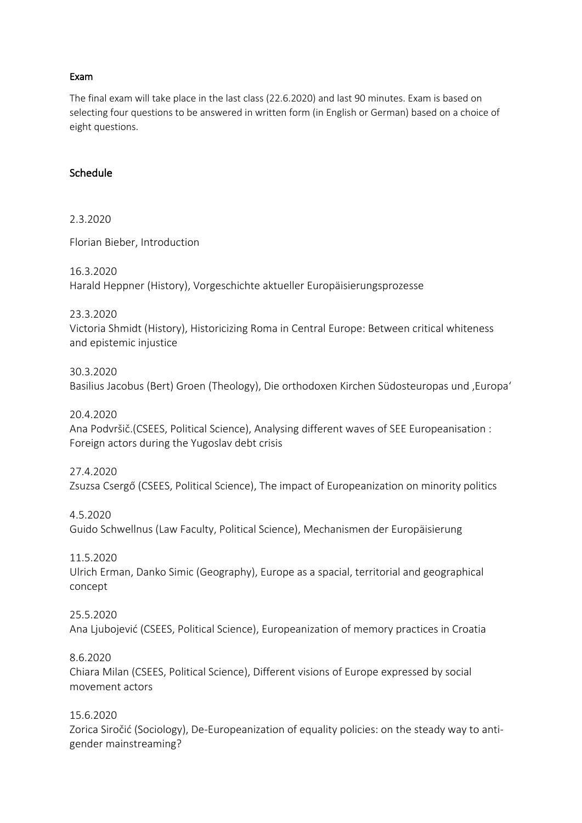### Exam

The final exam will take place in the last class (22.6.2020) and last 90 minutes. Exam is based on selecting four questions to be answered in written form (in English or German) based on a choice of eight questions.

#### Schedule

2.3.2020

Florian Bieber, Introduction

16.3.2020 Harald Heppner (History), Vorgeschichte aktueller Europäisierungsprozesse

23.3.2020 Victoria Shmidt (History), Historicizing Roma in Central Europe: Between critical whiteness and epistemic injustice

30.3.2020 Basilius Jacobus (Bert) Groen (Theology), Die orthodoxen Kirchen Südosteuropas und ,Europa'

20.4.2020 Ana Podvršič.(CSEES, Political Science), Analysing different waves of SEE Europeanisation : Foreign actors during the Yugoslav debt crisis

27.4.2020 Zsuzsa Csergő (CSEES, Political Science), The impact of Europeanization on minority politics

4.5.2020 Guido Schwellnus (Law Faculty, Political Science), Mechanismen der Europäisierung

11.5.2020 Ulrich Erman, Danko Simic (Geography), Europe as a spacial, territorial and geographical concept

25.5.2020 Ana Ljubojević (CSEES, Political Science), Europeanization of memory practices in Croatia

8.6.2020 Chiara Milan (CSEES, Political Science), Different visions of Europe expressed by social movement actors

15.6.2020

Zorica Siročić (Sociology), De-Europeanization of equality policies: on the steady way to antigender mainstreaming?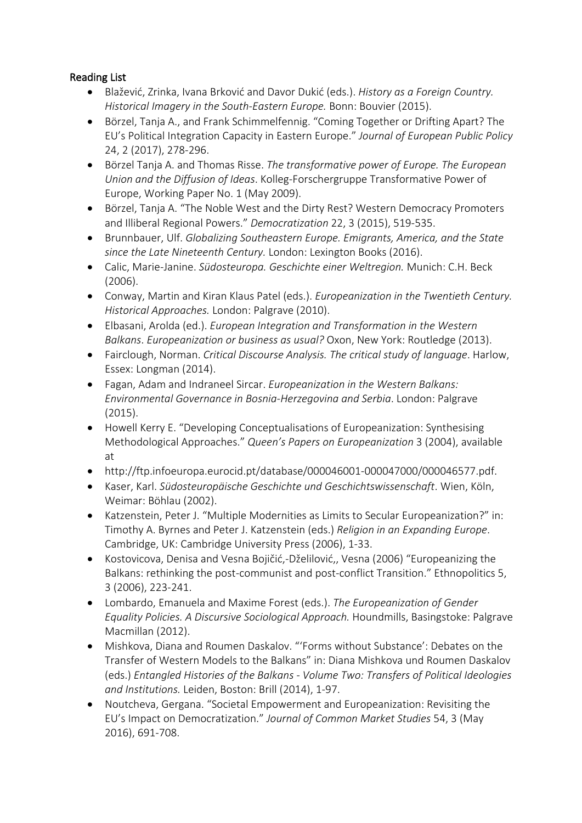## Reading List

- Blažević, Zrinka, Ivana Brković and Davor Dukić (eds.). *History as a Foreign Country. Historical Imagery in the South-Eastern Europe.* Bonn: Bouvier (2015).
- Börzel, Tanja A., and Frank Schimmelfennig. "Coming Together or Drifting Apart? The EU's Political Integration Capacity in Eastern Europe." *Journal of European Public Policy*  24, 2 (2017), 278-296.
- Börzel Tanja A. and Thomas Risse. *The transformative power of Europe. The European Union and the Diffusion of Ideas*. Kolleg-Forschergruppe Transformative Power of Europe, Working Paper No. 1 (May 2009).
- Börzel, Tanja A. "The Noble West and the Dirty Rest? Western Democracy Promoters and Illiberal Regional Powers." *Democratization* 22, 3 (2015), 519-535.
- Brunnbauer, Ulf. *Globalizing Southeastern Europe. Emigrants, America, and the State since the Late Nineteenth Century.* London: Lexington Books (2016).
- Calic, Marie-Janine. *Südosteuropa. Geschichte einer Weltregion.* Munich: C.H. Beck (2006).
- Conway, Martin and Kiran Klaus Patel (eds.). *Europeanization in the Twentieth Century. Historical Approaches.* London: Palgrave (2010).
- Elbasani, Arolda (ed.). *European Integration and Transformation in the Western Balkans*. *Europeanization or business as usual?* Oxon, New York: Routledge (2013).
- Fairclough, Norman. *Critical Discourse Analysis. The critical study of language*. Harlow, Essex: Longman (2014).
- Fagan, Adam and Indraneel Sircar. *Europeanization in the Western Balkans: Environmental Governance in Bosnia-Herzegovina and Serbia*. London: Palgrave (2015).
- Howell Kerry E. "Developing Conceptualisations of Europeanization: Synthesising Methodological Approaches." *Queen's Papers on Europeanization* 3 (2004), available at
- http://ftp.infoeuropa.eurocid.pt/database/000046001-000047000/000046577.pdf.
- Kaser, Karl. *Südosteuropäische Geschichte und Geschichtswissenschaft*. Wien, Köln, Weimar: Böhlau (2002).
- Katzenstein, Peter J. "Multiple Modernities as Limits to Secular Europeanization?" in: Timothy A. Byrnes and Peter J. Katzenstein (eds.) *Religion in an Expanding Europe*. Cambridge, UK: Cambridge University Press (2006), 1-33.
- Kostovicova, Denisa and Vesna Bojičić,-Dželilović,, Vesna (2006) "Europeanizing the Balkans: rethinking the post-communist and post-conflict Transition." Ethnopolitics 5, 3 (2006), 223-241.
- Lombardo, Emanuela and Maxime Forest (eds.). *The Europeanization of Gender Equality Policies. A Discursive Sociological Approach.* Houndmills, Basingstoke: Palgrave Macmillan (2012).
- Mishkova, Diana and Roumen Daskalov. "'Forms without Substance': Debates on the Transfer of Western Models to the Balkans" in: Diana Mishkova und Roumen Daskalov (eds.) *Entangled Histories of the Balkans - Volume Two: Transfers of Political Ideologies and Institutions.* Leiden, Boston: Brill (2014), 1-97.
- Noutcheva, Gergana. "Societal Empowerment and Europeanization: Revisiting the EU's Impact on Democratization." *Journal of Common Market Studies* 54, 3 (May 2016), 691-708.